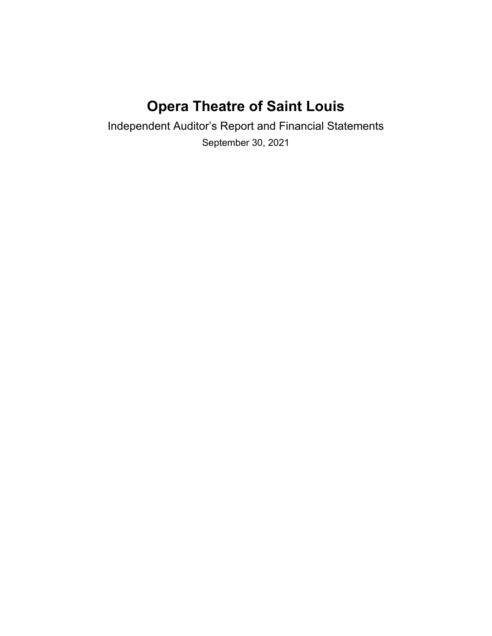Independent Auditor's Report and Financial Statements September 30, 2021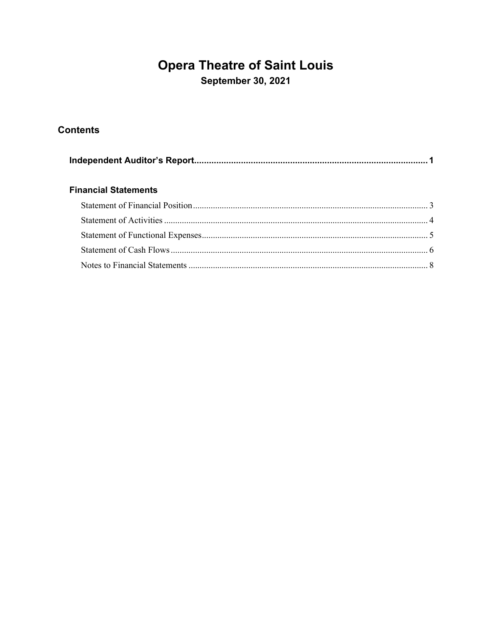# **Opera Theatre of Saint Louis September 30, 2021**

# **Contents**

## **Financial Statements**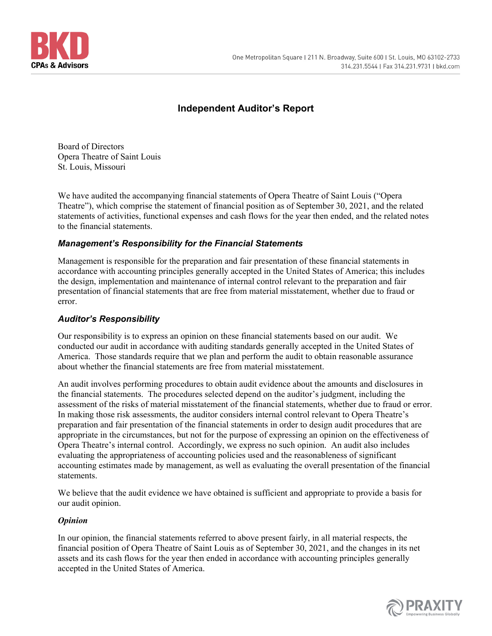

# **Independent Auditor's Report**

Board of Directors Opera Theatre of Saint Louis St. Louis, Missouri

We have audited the accompanying financial statements of Opera Theatre of Saint Louis ("Opera Theatre"), which comprise the statement of financial position as of September 30, 2021, and the related statements of activities, functional expenses and cash flows for the year then ended, and the related notes to the financial statements.

### *Management's Responsibility for the Financial Statements*

Management is responsible for the preparation and fair presentation of these financial statements in accordance with accounting principles generally accepted in the United States of America; this includes the design, implementation and maintenance of internal control relevant to the preparation and fair presentation of financial statements that are free from material misstatement, whether due to fraud or error.

### *Auditor's Responsibility*

Our responsibility is to express an opinion on these financial statements based on our audit. We conducted our audit in accordance with auditing standards generally accepted in the United States of America. Those standards require that we plan and perform the audit to obtain reasonable assurance about whether the financial statements are free from material misstatement.

An audit involves performing procedures to obtain audit evidence about the amounts and disclosures in the financial statements. The procedures selected depend on the auditor's judgment, including the assessment of the risks of material misstatement of the financial statements, whether due to fraud or error. In making those risk assessments, the auditor considers internal control relevant to Opera Theatre's preparation and fair presentation of the financial statements in order to design audit procedures that are appropriate in the circumstances, but not for the purpose of expressing an opinion on the effectiveness of Opera Theatre's internal control. Accordingly, we express no such opinion. An audit also includes evaluating the appropriateness of accounting policies used and the reasonableness of significant accounting estimates made by management, as well as evaluating the overall presentation of the financial statements.

We believe that the audit evidence we have obtained is sufficient and appropriate to provide a basis for our audit opinion.

#### *Opinion*

In our opinion, the financial statements referred to above present fairly, in all material respects, the financial position of Opera Theatre of Saint Louis as of September 30, 2021, and the changes in its net assets and its cash flows for the year then ended in accordance with accounting principles generally accepted in the United States of America.

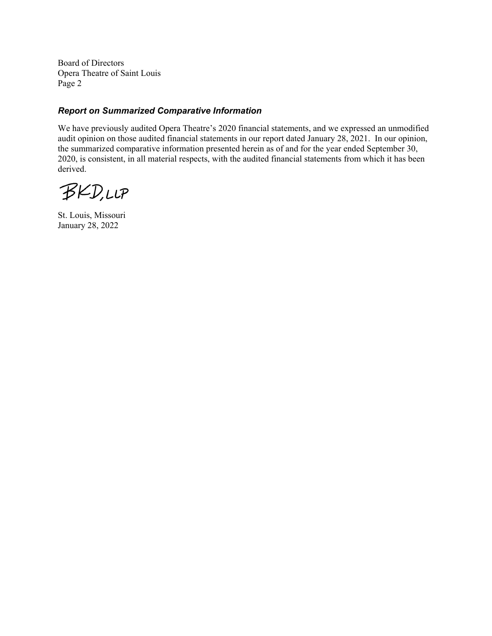Board of Directors Opera Theatre of Saint Louis Page 2

#### *Report on Summarized Comparative Information*

We have previously audited Opera Theatre's 2020 financial statements, and we expressed an unmodified audit opinion on those audited financial statements in our report dated January 28, 2021. In our opinion, the summarized comparative information presented herein as of and for the year ended September 30, 2020, is consistent, in all material respects, with the audited financial statements from which it has been derived.

BKD,LLP

St. Louis, Missouri January 28, 2022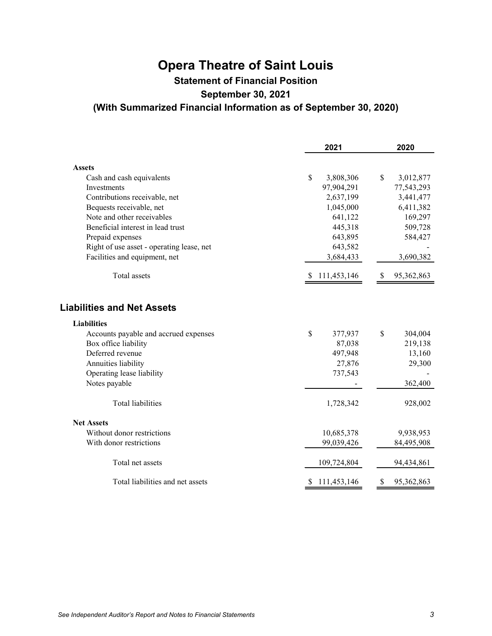## **Statement of Financial Position**

# **September 30, 2021**

# **(With Summarized Financial Information as of September 30, 2020)**

|                                                         | 2021                    | 2020                       |
|---------------------------------------------------------|-------------------------|----------------------------|
| <b>Assets</b>                                           |                         |                            |
| Cash and cash equivalents                               | \$<br>3,808,306         | \$<br>3,012,877            |
| Investments                                             | 97,904,291              | 77,543,293                 |
| Contributions receivable, net                           | 2,637,199               | 3,441,477                  |
| Bequests receivable, net                                | 1,045,000               | 6,411,382                  |
| Note and other receivables                              | 641,122                 | 169,297                    |
| Beneficial interest in lead trust                       | 445,318                 | 509,728                    |
| Prepaid expenses                                        | 643,895                 | 584,427                    |
| Right of use asset - operating lease, net               | 643,582                 |                            |
| Facilities and equipment, net                           | 3,684,433               | 3,690,382                  |
| Total assets                                            | 111,453,146<br>S.       | 95,362,863<br><sup>S</sup> |
| <b>Liabilities and Net Assets</b><br><b>Liabilities</b> |                         |                            |
| Accounts payable and accrued expenses                   | $\mathbb{S}$<br>377,937 | \$<br>304,004              |
| Box office liability                                    | 87,038                  | 219,138                    |
| Deferred revenue                                        | 497,948                 | 13,160                     |
| Annuities liability                                     | 27,876                  | 29,300                     |
| Operating lease liability                               | 737,543                 |                            |
| Notes payable                                           |                         | 362,400                    |
| <b>Total liabilities</b>                                | 1,728,342               | 928,002                    |
| <b>Net Assets</b>                                       |                         |                            |
| Without donor restrictions                              | 10,685,378              | 9,938,953                  |
| With donor restrictions                                 | 99,039,426              | 84,495,908                 |
| Total net assets                                        | 109,724,804             | 94,434,861                 |
| Total liabilities and net assets                        | 111,453,146<br>S        | 95,362,863<br>S            |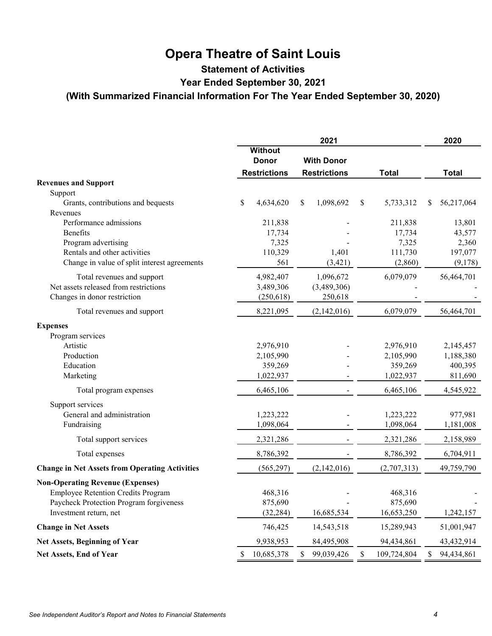**Statement of Activities** 

**Year Ended September 30, 2021** 

**(With Summarized Financial Information For The Year Ended September 30, 2020)** 

|                                                       | 2021 |                     |    |                     |                   | 2020 |              |
|-------------------------------------------------------|------|---------------------|----|---------------------|-------------------|------|--------------|
|                                                       |      | <b>Without</b>      |    |                     |                   |      |              |
|                                                       |      | <b>Donor</b>        |    | <b>With Donor</b>   |                   |      |              |
|                                                       |      | <b>Restrictions</b> |    | <b>Restrictions</b> | <b>Total</b>      |      | <b>Total</b> |
| <b>Revenues and Support</b>                           |      |                     |    |                     |                   |      |              |
| Support                                               |      |                     |    |                     |                   |      |              |
| Grants, contributions and bequests                    | \$   | 4,634,620           | \$ | 1,098,692           | \$<br>5,733,312   | S.   | 56,217,064   |
| Revenues                                              |      |                     |    |                     |                   |      |              |
| Performance admissions                                |      | 211,838             |    |                     | 211,838           |      | 13,801       |
| Benefits                                              |      | 17,734              |    |                     | 17,734            |      | 43,577       |
| Program advertising                                   |      | 7,325               |    |                     | 7,325             |      | 2,360        |
| Rentals and other activities                          |      | 110,329             |    | 1,401               | 111,730           |      | 197,077      |
| Change in value of split interest agreements          |      | 561                 |    | (3, 421)            | (2,860)           |      | (9,178)      |
| Total revenues and support                            |      | 4,982,407           |    | 1,096,672           | 6,079,079         |      | 56,464,701   |
| Net assets released from restrictions                 |      | 3,489,306           |    | (3,489,306)         |                   |      |              |
| Changes in donor restriction                          |      | (250, 618)          |    | 250,618             |                   |      |              |
| Total revenues and support                            |      | 8,221,095           |    | (2,142,016)         | 6,079,079         |      | 56,464,701   |
| <b>Expenses</b>                                       |      |                     |    |                     |                   |      |              |
| Program services                                      |      |                     |    |                     |                   |      |              |
| Artistic                                              |      | 2,976,910           |    |                     | 2,976,910         |      | 2,145,457    |
| Production                                            |      | 2,105,990           |    |                     | 2,105,990         |      | 1,188,380    |
| Education                                             |      | 359,269             |    |                     | 359,269           |      | 400,395      |
| Marketing                                             |      | 1,022,937           |    |                     | 1,022,937         |      | 811,690      |
| Total program expenses                                |      | 6,465,106           |    |                     | 6,465,106         |      | 4,545,922    |
| Support services                                      |      |                     |    |                     |                   |      |              |
| General and administration                            |      | 1,223,222           |    |                     | 1,223,222         |      | 977,981      |
| Fundraising                                           |      | 1,098,064           |    |                     | 1,098,064         |      | 1,181,008    |
| Total support services                                |      | 2,321,286           |    |                     | 2,321,286         |      | 2,158,989    |
|                                                       |      |                     |    |                     |                   |      |              |
| Total expenses                                        |      | 8,786,392           |    |                     | 8,786,392         |      | 6,704,911    |
| <b>Change in Net Assets from Operating Activities</b> |      | (565, 297)          |    | (2,142,016)         | (2,707,313)       |      | 49,759,790   |
| <b>Non-Operating Revenue (Expenses)</b>               |      |                     |    |                     |                   |      |              |
| <b>Employee Retention Credits Program</b>             |      | 468,316             |    |                     | 468,316           |      |              |
| Paycheck Protection Program forgiveness               |      | 875,690             |    |                     | 875,690           |      |              |
| Investment return, net                                |      | (32, 284)           |    | 16,685,534          | 16,653,250        |      | 1,242,157    |
| <b>Change in Net Assets</b>                           |      | 746,425             |    | 14,543,518          | 15,289,943        |      | 51,001,947   |
| <b>Net Assets, Beginning of Year</b>                  |      | 9,938,953           |    | 84,495,908          | 94,434,861        |      | 43,432,914   |
| Net Assets, End of Year                               | \$   | 10,685,378          | \$ | 99,039,426          | \$<br>109,724,804 | \$   | 94,434,861   |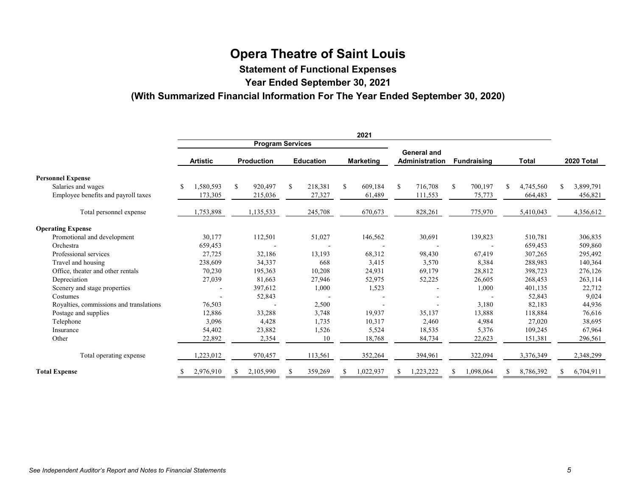**Statement of Functional Expenses** 

**Year Ended September 30, 2021** 

## **(With Summarized Financial Information For The Year Ended September 30, 2020)**

|                                         |                            |                   |                         | 2021             |                          |                          |                 |                 |
|-----------------------------------------|----------------------------|-------------------|-------------------------|------------------|--------------------------|--------------------------|-----------------|-----------------|
|                                         |                            |                   | <b>Program Services</b> |                  |                          |                          |                 |                 |
|                                         | <b>Artistic</b>            | <b>Production</b> | <b>Education</b>        | <b>Marketing</b> |                          | <b>Fundraising</b>       | <b>Total</b>    | 2020 Total      |
|                                         |                            |                   |                         |                  |                          |                          |                 |                 |
| <b>Personnel Expense</b>                |                            |                   |                         |                  |                          |                          |                 |                 |
| Salaries and wages                      | <sup>\$</sup><br>1,580,593 | 920,497<br>-S     | 218,381<br>\$.          | 609,184<br>\$.   | 716,708<br><sup>\$</sup> | <sup>\$</sup><br>700,197 | 4,745,560<br>-S | 3,899,791<br>\$ |
| Employee benefits and payroll taxes     | 173,305                    | 215,036           | 27,327                  | 61,489           | 111,553                  | 75,773                   | 664,483         | 456,821         |
| Total personnel expense                 | 1,753,898                  | 1,135,533         | 245,708                 | 670,673          | 828,261                  | 775,970                  | 5,410,043       | 4,356,612       |
| <b>Operating Expense</b>                |                            |                   |                         |                  |                          |                          |                 |                 |
| Promotional and development             | 30,177                     | 112,501           | 51,027                  | 146,562          | 30,691                   | 139,823                  | 510,781         | 306,835         |
| Orchestra                               | 659,453                    |                   |                         |                  |                          |                          | 659,453         | 509,860         |
| Professional services                   | 27,725                     | 32,186            | 13,193                  | 68,312           | 98,430                   | 67,419                   | 307,265         | 295,492         |
| Travel and housing                      | 238,609                    | 34,337            | 668                     | 3,415            | 3,570                    | 8,384                    | 288,983         | 140,364         |
| Office, theater and other rentals       | 70,230                     | 195,363           | 10,208                  | 24,931           | 69,179                   | 28,812                   | 398,723         | 276,126         |
| Depreciation                            | 27,039                     | 81,663            | 27,946                  | 52,975           | 52,225                   | 26,605                   | 268,453         | 263,114         |
| Scenery and stage properties            |                            | 397,612           | 1,000                   | 1,523            |                          | 1,000                    | 401,135         | 22,712          |
| Costumes                                |                            | 52,843            |                         |                  |                          |                          | 52,843          | 9,024           |
| Royalties, commissions and translations | 76,503                     |                   | 2,500                   |                  |                          | 3,180                    | 82,183          | 44,936          |
| Postage and supplies                    | 12,886                     | 33,288            | 3,748                   | 19,937           | 35,137                   | 13,888                   | 118,884         | 76,616          |
| Telephone                               | 3,096                      | 4,428             | 1,735                   | 10,317           | 2,460                    | 4,984                    | 27,020          | 38,695          |
| Insurance                               | 54,402                     | 23,882            | 1,526                   | 5,524            | 18,535                   | 5,376                    | 109,245         | 67,964          |
| Other                                   | 22,892                     | 2,354             | 10                      | 18,768           | 84,734                   | 22,623                   | 151,381         | 296,561         |
| Total operating expense                 | 1,223,012                  | 970,457           | 113,561                 | 352,264          | 394,961                  | 322,094                  | 3,376,349       | 2,348,299       |
| <b>Total Expense</b>                    | 2,976,910                  | 2,105,990         | 359,269                 | 1,022,937        | 1,223,222                | 1,098,064                | 8,786,392       | 6,704,911<br>S. |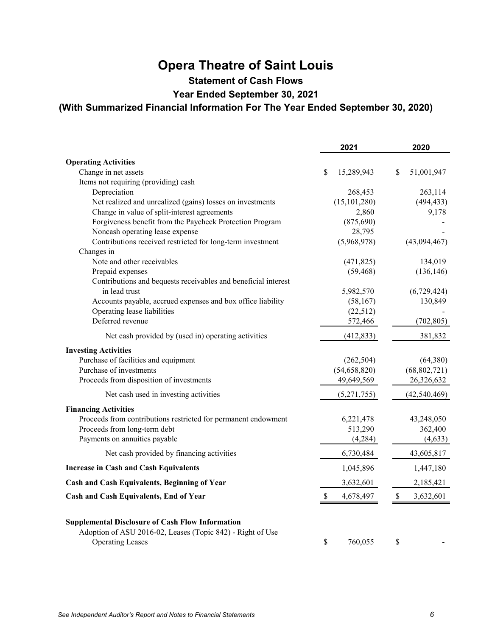**Statement of Cash Flows** 

**Year Ended September 30, 2021** 

# **(With Summarized Financial Information For The Year Ended September 30, 2020)**

|                                                                                                                                                  | 2021                     | 2020             |
|--------------------------------------------------------------------------------------------------------------------------------------------------|--------------------------|------------------|
| <b>Operating Activities</b>                                                                                                                      |                          |                  |
| Change in net assets                                                                                                                             | \$<br>15,289,943         | \$<br>51,001,947 |
| Items not requiring (providing) cash                                                                                                             |                          |                  |
| Depreciation                                                                                                                                     | 268,453                  | 263,114          |
| Net realized and unrealized (gains) losses on investments                                                                                        | (15, 101, 280)           | (494, 433)       |
| Change in value of split-interest agreements                                                                                                     | 2,860                    | 9,178            |
| Forgiveness benefit from the Paycheck Protection Program                                                                                         | (875, 690)               |                  |
| Noncash operating lease expense                                                                                                                  | 28,795                   |                  |
| Contributions received restricted for long-term investment                                                                                       | (5,968,978)              | (43,094,467)     |
| Changes in                                                                                                                                       |                          |                  |
| Note and other receivables                                                                                                                       | (471, 825)               | 134,019          |
| Prepaid expenses                                                                                                                                 | (59, 468)                | (136, 146)       |
| Contributions and bequests receivables and beneficial interest                                                                                   |                          |                  |
| in lead trust                                                                                                                                    | 5,982,570                | (6,729,424)      |
| Accounts payable, accrued expenses and box office liability                                                                                      | (58,167)                 | 130,849          |
| Operating lease liabilities                                                                                                                      | (22,512)                 |                  |
| Deferred revenue                                                                                                                                 | 572,466                  | (702, 805)       |
| Net cash provided by (used in) operating activities                                                                                              | (412, 833)               | 381,832          |
| <b>Investing Activities</b>                                                                                                                      |                          |                  |
| Purchase of facilities and equipment                                                                                                             | (262, 504)               | (64,380)         |
| Purchase of investments                                                                                                                          | (54,658,820)             | (68, 802, 721)   |
| Proceeds from disposition of investments                                                                                                         | 49,649,569               | 26,326,632       |
| Net cash used in investing activities                                                                                                            | (5,271,755)              | (42, 540, 469)   |
| <b>Financing Activities</b>                                                                                                                      |                          |                  |
| Proceeds from contributions restricted for permanent endowment                                                                                   | 6,221,478                | 43,248,050       |
| Proceeds from long-term debt                                                                                                                     | 513,290                  | 362,400          |
| Payments on annuities payable                                                                                                                    | (4,284)                  | (4, 633)         |
| Net cash provided by financing activities                                                                                                        | 6,730,484                | 43,605,817       |
| <b>Increase in Cash and Cash Equivalents</b>                                                                                                     | 1,045,896                | 1,447,180        |
| Cash and Cash Equivalents, Beginning of Year                                                                                                     | 3,632,601                | 2,185,421        |
| Cash and Cash Equivalents, End of Year                                                                                                           | $\mathbb S$<br>4,678,497 | \$<br>3,632,601  |
| <b>Supplemental Disclosure of Cash Flow Information</b><br>Adoption of ASU 2016-02, Leases (Topic 842) - Right of Use<br><b>Operating Leases</b> | $\mathbb{S}$<br>760,055  | \$               |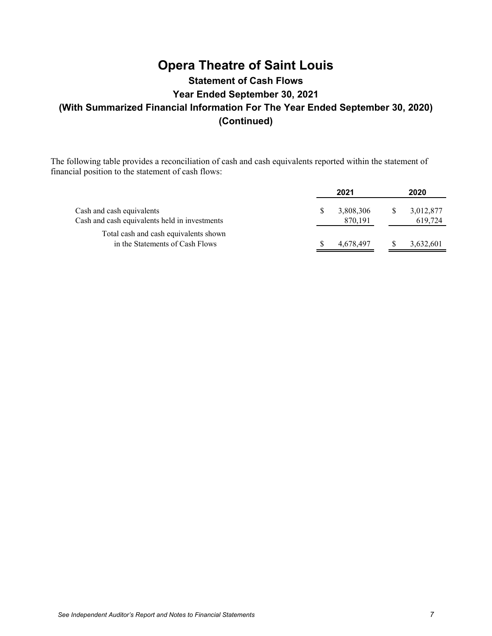# **Statement of Cash Flows**

## **Year Ended September 30, 2021**

# **(With Summarized Financial Information For The Year Ended September 30, 2020) (Continued)**

The following table provides a reconciliation of cash and cash equivalents reported within the statement of financial position to the statement of cash flows:

|                                                                            |    | 2021                 |   | 2020                 |
|----------------------------------------------------------------------------|----|----------------------|---|----------------------|
| Cash and cash equivalents<br>Cash and cash equivalents held in investments | S. | 3,808,306<br>870.191 | S | 3,012,877<br>619.724 |
| Total cash and cash equivalents shown<br>in the Statements of Cash Flows   |    | 4,678,497            |   | 3,632,601            |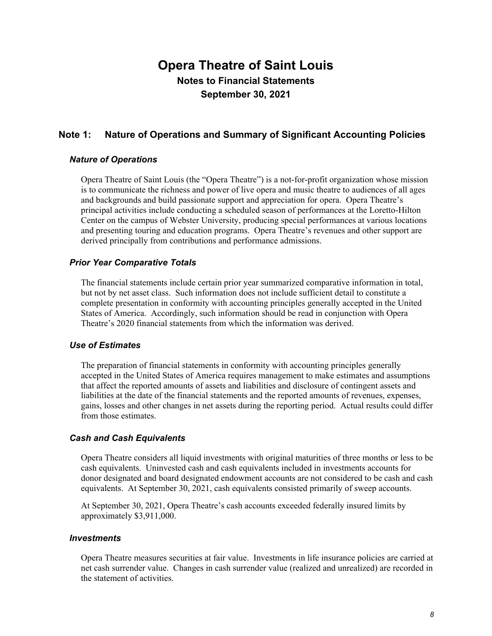## **Note 1: Nature of Operations and Summary of Significant Accounting Policies**

#### *Nature of Operations*

Opera Theatre of Saint Louis (the "Opera Theatre") is a not-for-profit organization whose mission is to communicate the richness and power of live opera and music theatre to audiences of all ages and backgrounds and build passionate support and appreciation for opera. Opera Theatre's principal activities include conducting a scheduled season of performances at the Loretto-Hilton Center on the campus of Webster University, producing special performances at various locations and presenting touring and education programs. Opera Theatre's revenues and other support are derived principally from contributions and performance admissions.

### *Prior Year Comparative Totals*

The financial statements include certain prior year summarized comparative information in total, but not by net asset class. Such information does not include sufficient detail to constitute a complete presentation in conformity with accounting principles generally accepted in the United States of America. Accordingly, such information should be read in conjunction with Opera Theatre's 2020 financial statements from which the information was derived.

### *Use of Estimates*

The preparation of financial statements in conformity with accounting principles generally accepted in the United States of America requires management to make estimates and assumptions that affect the reported amounts of assets and liabilities and disclosure of contingent assets and liabilities at the date of the financial statements and the reported amounts of revenues, expenses, gains, losses and other changes in net assets during the reporting period. Actual results could differ from those estimates.

### *Cash and Cash Equivalents*

Opera Theatre considers all liquid investments with original maturities of three months or less to be cash equivalents. Uninvested cash and cash equivalents included in investments accounts for donor designated and board designated endowment accounts are not considered to be cash and cash equivalents. At September 30, 2021, cash equivalents consisted primarily of sweep accounts.

At September 30, 2021, Opera Theatre's cash accounts exceeded federally insured limits by approximately \$3,911,000.

#### *Investments*

Opera Theatre measures securities at fair value. Investments in life insurance policies are carried at net cash surrender value. Changes in cash surrender value (realized and unrealized) are recorded in the statement of activities.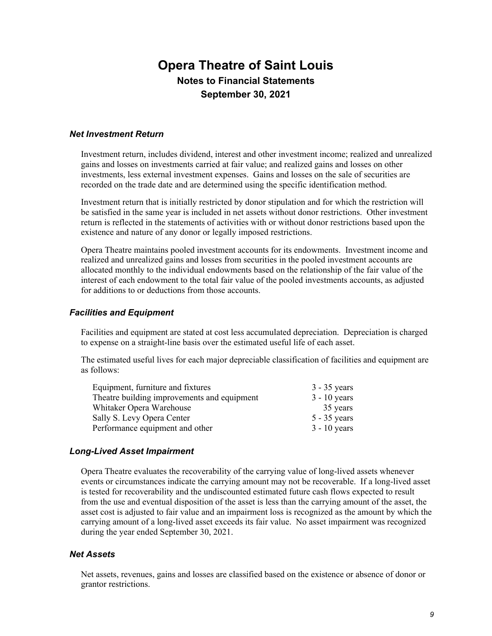#### *Net Investment Return*

Investment return, includes dividend, interest and other investment income; realized and unrealized gains and losses on investments carried at fair value; and realized gains and losses on other investments, less external investment expenses. Gains and losses on the sale of securities are recorded on the trade date and are determined using the specific identification method.

Investment return that is initially restricted by donor stipulation and for which the restriction will be satisfied in the same year is included in net assets without donor restrictions. Other investment return is reflected in the statements of activities with or without donor restrictions based upon the existence and nature of any donor or legally imposed restrictions.

Opera Theatre maintains pooled investment accounts for its endowments. Investment income and realized and unrealized gains and losses from securities in the pooled investment accounts are allocated monthly to the individual endowments based on the relationship of the fair value of the interest of each endowment to the total fair value of the pooled investments accounts, as adjusted for additions to or deductions from those accounts.

#### *Facilities and Equipment*

Facilities and equipment are stated at cost less accumulated depreciation. Depreciation is charged to expense on a straight-line basis over the estimated useful life of each asset.

The estimated useful lives for each major depreciable classification of facilities and equipment are as follows:

| Equipment, furniture and fixtures           | $3 - 35$ years |
|---------------------------------------------|----------------|
| Theatre building improvements and equipment | $3 - 10$ years |
| Whitaker Opera Warehouse                    | 35 years       |
| Sally S. Levy Opera Center                  | $5 - 35$ years |
| Performance equipment and other             | $3 - 10$ years |

#### *Long-Lived Asset Impairment*

Opera Theatre evaluates the recoverability of the carrying value of long-lived assets whenever events or circumstances indicate the carrying amount may not be recoverable. If a long-lived asset is tested for recoverability and the undiscounted estimated future cash flows expected to result from the use and eventual disposition of the asset is less than the carrying amount of the asset, the asset cost is adjusted to fair value and an impairment loss is recognized as the amount by which the carrying amount of a long-lived asset exceeds its fair value. No asset impairment was recognized during the year ended September 30, 2021.

#### *Net Assets*

Net assets, revenues, gains and losses are classified based on the existence or absence of donor or grantor restrictions.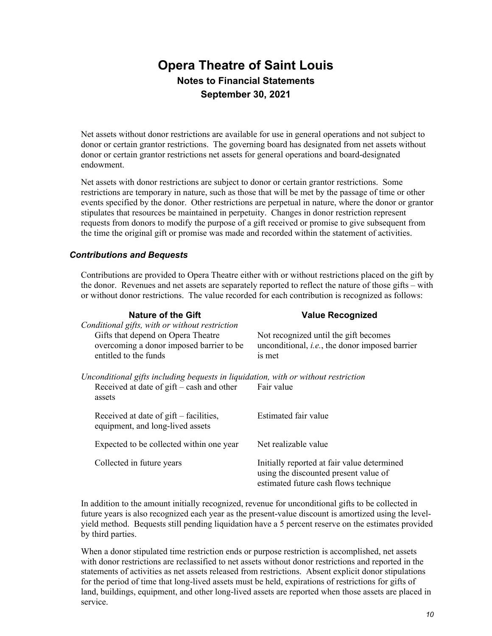Net assets without donor restrictions are available for use in general operations and not subject to donor or certain grantor restrictions. The governing board has designated from net assets without donor or certain grantor restrictions net assets for general operations and board-designated endowment.

Net assets with donor restrictions are subject to donor or certain grantor restrictions. Some restrictions are temporary in nature, such as those that will be met by the passage of time or other events specified by the donor. Other restrictions are perpetual in nature, where the donor or grantor stipulates that resources be maintained in perpetuity. Changes in donor restriction represent requests from donors to modify the purpose of a gift received or promise to give subsequent from the time the original gift or promise was made and recorded within the statement of activities.

#### *Contributions and Bequests*

Contributions are provided to Opera Theatre either with or without restrictions placed on the gift by the donor. Revenues and net assets are separately reported to reflect the nature of those gifts – with or without donor restrictions. The value recorded for each contribution is recognized as follows:

| Nature of the Gift                                                                                      | <b>Value Recognized</b>                                                                                                       |
|---------------------------------------------------------------------------------------------------------|-------------------------------------------------------------------------------------------------------------------------------|
| Conditional gifts, with or without restriction                                                          |                                                                                                                               |
| Gifts that depend on Opera Theatre<br>overcoming a donor imposed barrier to be<br>entitled to the funds | Not recognized until the gift becomes<br>unconditional, i.e., the donor imposed barrier<br>is met                             |
| Unconditional gifts including bequests in liquidation, with or without restriction                      |                                                                                                                               |
| Received at date of gift – cash and other<br>assets                                                     | Fair value                                                                                                                    |
| Received at date of gift – facilities,<br>equipment, and long-lived assets                              | Estimated fair value                                                                                                          |
| Expected to be collected within one year                                                                | Net realizable value                                                                                                          |
| Collected in future years                                                                               | Initially reported at fair value determined<br>using the discounted present value of<br>estimated future cash flows technique |

In addition to the amount initially recognized, revenue for unconditional gifts to be collected in future years is also recognized each year as the present-value discount is amortized using the levelyield method. Bequests still pending liquidation have a 5 percent reserve on the estimates provided by third parties.

When a donor stipulated time restriction ends or purpose restriction is accomplished, net assets with donor restrictions are reclassified to net assets without donor restrictions and reported in the statements of activities as net assets released from restrictions. Absent explicit donor stipulations for the period of time that long-lived assets must be held, expirations of restrictions for gifts of land, buildings, equipment, and other long-lived assets are reported when those assets are placed in service.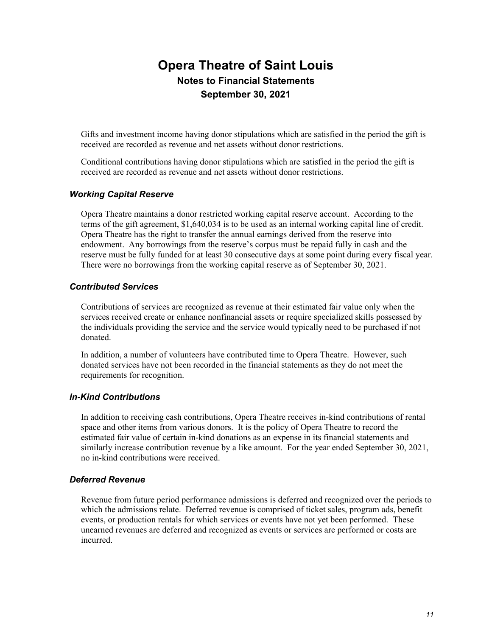Gifts and investment income having donor stipulations which are satisfied in the period the gift is received are recorded as revenue and net assets without donor restrictions.

Conditional contributions having donor stipulations which are satisfied in the period the gift is received are recorded as revenue and net assets without donor restrictions.

#### *Working Capital Reserve*

Opera Theatre maintains a donor restricted working capital reserve account. According to the terms of the gift agreement, \$1,640,034 is to be used as an internal working capital line of credit. Opera Theatre has the right to transfer the annual earnings derived from the reserve into endowment. Any borrowings from the reserve's corpus must be repaid fully in cash and the reserve must be fully funded for at least 30 consecutive days at some point during every fiscal year. There were no borrowings from the working capital reserve as of September 30, 2021.

#### *Contributed Services*

Contributions of services are recognized as revenue at their estimated fair value only when the services received create or enhance nonfinancial assets or require specialized skills possessed by the individuals providing the service and the service would typically need to be purchased if not donated.

In addition, a number of volunteers have contributed time to Opera Theatre. However, such donated services have not been recorded in the financial statements as they do not meet the requirements for recognition.

#### *In-Kind Contributions*

In addition to receiving cash contributions, Opera Theatre receives in-kind contributions of rental space and other items from various donors. It is the policy of Opera Theatre to record the estimated fair value of certain in-kind donations as an expense in its financial statements and similarly increase contribution revenue by a like amount. For the year ended September 30, 2021, no in-kind contributions were received.

#### *Deferred Revenue*

Revenue from future period performance admissions is deferred and recognized over the periods to which the admissions relate. Deferred revenue is comprised of ticket sales, program ads, benefit events, or production rentals for which services or events have not yet been performed. These unearned revenues are deferred and recognized as events or services are performed or costs are incurred.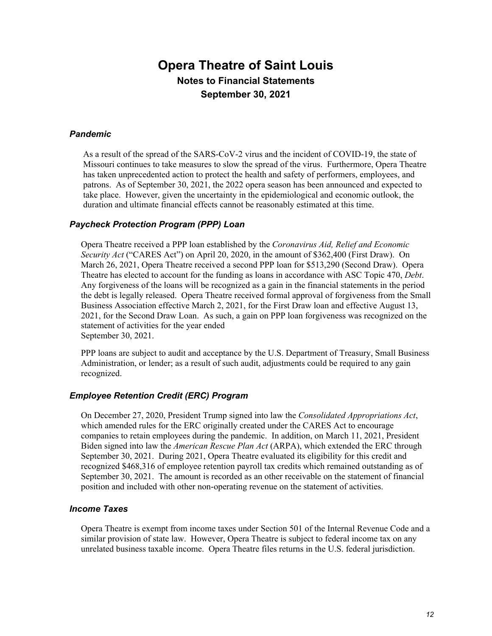#### *Pandemic*

As a result of the spread of the SARS-CoV-2 virus and the incident of COVID-19, the state of Missouri continues to take measures to slow the spread of the virus. Furthermore, Opera Theatre has taken unprecedented action to protect the health and safety of performers, employees, and patrons. As of September 30, 2021, the 2022 opera season has been announced and expected to take place. However, given the uncertainty in the epidemiological and economic outlook, the duration and ultimate financial effects cannot be reasonably estimated at this time.

#### *Paycheck Protection Program (PPP) Loan*

Opera Theatre received a PPP loan established by the *Coronavirus Aid, Relief and Economic Security Act* ("CARES Act") on April 20, 2020, in the amount of \$362,400 (First Draw). On March 26, 2021, Opera Theatre received a second PPP loan for \$513,290 (Second Draw). Opera Theatre has elected to account for the funding as loans in accordance with ASC Topic 470, *Debt*. Any forgiveness of the loans will be recognized as a gain in the financial statements in the period the debt is legally released. Opera Theatre received formal approval of forgiveness from the Small Business Association effective March 2, 2021, for the First Draw loan and effective August 13, 2021, for the Second Draw Loan. As such, a gain on PPP loan forgiveness was recognized on the statement of activities for the year ended September 30, 2021.

PPP loans are subject to audit and acceptance by the U.S. Department of Treasury, Small Business Administration, or lender; as a result of such audit, adjustments could be required to any gain recognized.

#### *Employee Retention Credit (ERC) Program*

On December 27, 2020, President Trump signed into law the *Consolidated Appropriations Act*, which amended rules for the ERC originally created under the CARES Act to encourage companies to retain employees during the pandemic. In addition, on March 11, 2021, President Biden signed into law the *American Rescue Plan Act* (ARPA), which extended the ERC through September 30, 2021. During 2021, Opera Theatre evaluated its eligibility for this credit and recognized \$468,316 of employee retention payroll tax credits which remained outstanding as of September 30, 2021. The amount is recorded as an other receivable on the statement of financial position and included with other non-operating revenue on the statement of activities.

#### *Income Taxes*

Opera Theatre is exempt from income taxes under Section 501 of the Internal Revenue Code and a similar provision of state law. However, Opera Theatre is subject to federal income tax on any unrelated business taxable income. Opera Theatre files returns in the U.S. federal jurisdiction.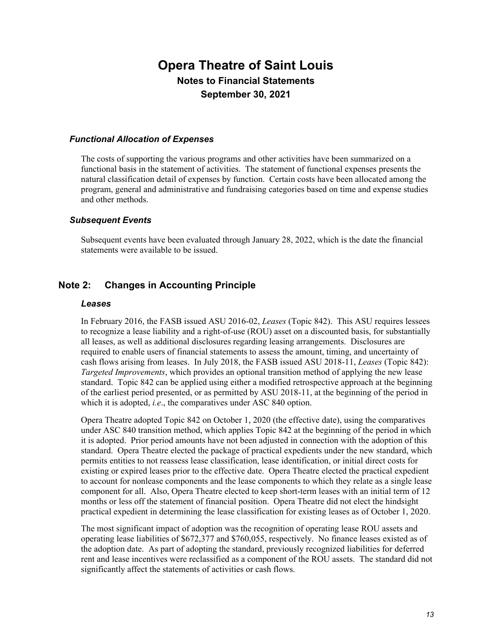#### *Functional Allocation of Expenses*

The costs of supporting the various programs and other activities have been summarized on a functional basis in the statement of activities. The statement of functional expenses presents the natural classification detail of expenses by function. Certain costs have been allocated among the program, general and administrative and fundraising categories based on time and expense studies and other methods.

#### *Subsequent Events*

Subsequent events have been evaluated through January 28, 2022, which is the date the financial statements were available to be issued.

## **Note 2: Changes in Accounting Principle**

#### *Leases*

In February 2016, the FASB issued ASU 2016-02, *Leases* (Topic 842). This ASU requires lessees to recognize a lease liability and a right-of-use (ROU) asset on a discounted basis, for substantially all leases, as well as additional disclosures regarding leasing arrangements. Disclosures are required to enable users of financial statements to assess the amount, timing, and uncertainty of cash flows arising from leases. In July 2018, the FASB issued ASU 2018-11, *Leases* (Topic 842): *Targeted Improvements*, which provides an optional transition method of applying the new lease standard. Topic 842 can be applied using either a modified retrospective approach at the beginning of the earliest period presented, or as permitted by ASU 2018-11, at the beginning of the period in which it is adopted, *i.e.*, the comparatives under ASC 840 option.

Opera Theatre adopted Topic 842 on October 1, 2020 (the effective date), using the comparatives under ASC 840 transition method, which applies Topic 842 at the beginning of the period in which it is adopted. Prior period amounts have not been adjusted in connection with the adoption of this standard. Opera Theatre elected the package of practical expedients under the new standard, which permits entities to not reassess lease classification, lease identification, or initial direct costs for existing or expired leases prior to the effective date. Opera Theatre elected the practical expedient to account for nonlease components and the lease components to which they relate as a single lease component for all. Also, Opera Theatre elected to keep short-term leases with an initial term of 12 months or less off the statement of financial position. Opera Theatre did not elect the hindsight practical expedient in determining the lease classification for existing leases as of October 1, 2020.

The most significant impact of adoption was the recognition of operating lease ROU assets and operating lease liabilities of \$672,377 and \$760,055, respectively. No finance leases existed as of the adoption date. As part of adopting the standard, previously recognized liabilities for deferred rent and lease incentives were reclassified as a component of the ROU assets. The standard did not significantly affect the statements of activities or cash flows.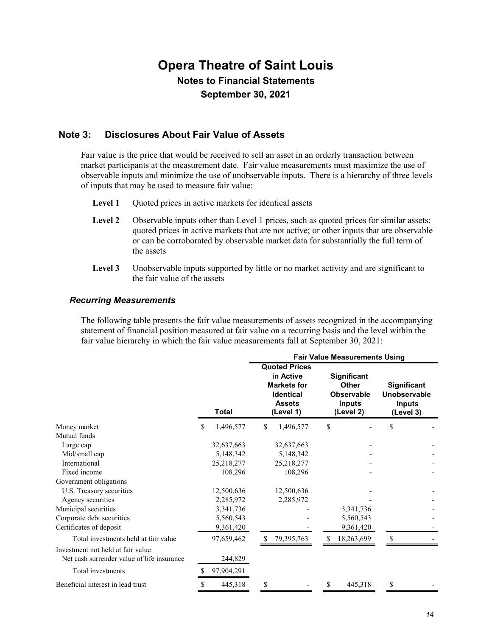### **Note 3: Disclosures About Fair Value of Assets**

Fair value is the price that would be received to sell an asset in an orderly transaction between market participants at the measurement date. Fair value measurements must maximize the use of observable inputs and minimize the use of unobservable inputs. There is a hierarchy of three levels of inputs that may be used to measure fair value:

- **Level 1** Quoted prices in active markets for identical assets
- Level 2 Observable inputs other than Level 1 prices, such as quoted prices for similar assets; quoted prices in active markets that are not active; or other inputs that are observable or can be corroborated by observable market data for substantially the full term of the assets
- Level 3 Unobservable inputs supported by little or no market activity and are significant to the fair value of the assets

#### *Recurring Measurements*

The following table presents the fair value measurements of assets recognized in the accompanying statement of financial position measured at fair value on a recurring basis and the level within the fair value hierarchy in which the fair value measurements fall at September 30, 2021:

|                                            |     |              | <b>Fair Value Measurements Using</b> |                                                                                                           |    |                                                                  |                                                                         |  |  |  |  |
|--------------------------------------------|-----|--------------|--------------------------------------|-----------------------------------------------------------------------------------------------------------|----|------------------------------------------------------------------|-------------------------------------------------------------------------|--|--|--|--|
|                                            |     | <b>Total</b> |                                      | <b>Quoted Prices</b><br>in Active<br><b>Markets for</b><br><b>Identical</b><br><b>Assets</b><br>(Level 1) |    | Significant<br>Other<br>Observable<br><b>Inputs</b><br>(Level 2) | <b>Significant</b><br><b>Unobservable</b><br><b>Inputs</b><br>(Level 3) |  |  |  |  |
| Money market                               | \$. | 1,496,577    | \$                                   | 1,496,577                                                                                                 | \$ |                                                                  | \$                                                                      |  |  |  |  |
| Mutual funds                               |     |              |                                      |                                                                                                           |    |                                                                  |                                                                         |  |  |  |  |
| Large cap                                  |     | 32,637,663   |                                      | 32,637,663                                                                                                |    |                                                                  |                                                                         |  |  |  |  |
| Mid/small cap                              |     | 5,148,342    |                                      | 5,148,342                                                                                                 |    |                                                                  |                                                                         |  |  |  |  |
| International                              |     | 25,218,277   |                                      | 25,218,277                                                                                                |    |                                                                  |                                                                         |  |  |  |  |
| Fixed income                               |     | 108,296      |                                      | 108,296                                                                                                   |    |                                                                  |                                                                         |  |  |  |  |
| Government obligations                     |     |              |                                      |                                                                                                           |    |                                                                  |                                                                         |  |  |  |  |
| U.S. Treasury securities                   |     | 12,500,636   |                                      | 12,500,636                                                                                                |    |                                                                  |                                                                         |  |  |  |  |
| Agency securities                          |     | 2,285,972    |                                      | 2,285,972                                                                                                 |    |                                                                  |                                                                         |  |  |  |  |
| Municipal securities                       |     | 3,341,736    |                                      |                                                                                                           |    | 3, 341, 736                                                      |                                                                         |  |  |  |  |
| Corporate debt securities                  |     | 5,560,543    |                                      |                                                                                                           |    | 5,560,543                                                        |                                                                         |  |  |  |  |
| Certificates of deposit                    |     | 9,361,420    |                                      |                                                                                                           |    | 9,361,420                                                        |                                                                         |  |  |  |  |
| Total investments held at fair value       |     | 97,659,462   | \$                                   | 79,395,763                                                                                                | \$ | 18,263,699                                                       | \$                                                                      |  |  |  |  |
| Investment not held at fair value          |     |              |                                      |                                                                                                           |    |                                                                  |                                                                         |  |  |  |  |
| Net cash surrender value of life insurance |     | 244,829      |                                      |                                                                                                           |    |                                                                  |                                                                         |  |  |  |  |
| Total investments                          |     | 97,904,291   |                                      |                                                                                                           |    |                                                                  |                                                                         |  |  |  |  |
| Beneficial interest in lead trust          | S   | 445,318      | \$                                   |                                                                                                           | \$ | 445,318                                                          | \$                                                                      |  |  |  |  |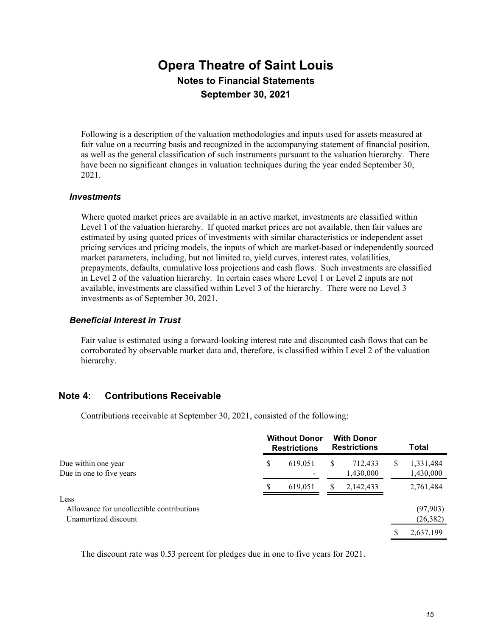Following is a description of the valuation methodologies and inputs used for assets measured at fair value on a recurring basis and recognized in the accompanying statement of financial position, as well as the general classification of such instruments pursuant to the valuation hierarchy. There have been no significant changes in valuation techniques during the year ended September 30, 2021.

#### *Investments*

Where quoted market prices are available in an active market, investments are classified within Level 1 of the valuation hierarchy. If quoted market prices are not available, then fair values are estimated by using quoted prices of investments with similar characteristics or independent asset pricing services and pricing models, the inputs of which are market-based or independently sourced market parameters, including, but not limited to, yield curves, interest rates, volatilities, prepayments, defaults, cumulative loss projections and cash flows. Such investments are classified in Level 2 of the valuation hierarchy. In certain cases where Level 1 or Level 2 inputs are not available, investments are classified within Level 3 of the hierarchy. There were no Level 3 investments as of September 30, 2021.

#### *Beneficial Interest in Trust*

Fair value is estimated using a forward-looking interest rate and discounted cash flows that can be corroborated by observable market data and, therefore, is classified within Level 2 of the valuation hierarchy.

### **Note 4: Contributions Receivable**

Contributions receivable at September 30, 2021, consisted of the following:

|                                                                           | <b>Without Donor</b><br><b>Restrictions</b> |         |    | <b>With Donor</b><br><b>Restrictions</b> |   | Total                  |
|---------------------------------------------------------------------------|---------------------------------------------|---------|----|------------------------------------------|---|------------------------|
| Due within one year<br>Due in one to five years                           | \$                                          | 619,051 | \$ | 712,433<br>1,430,000                     | S | 1,331,484<br>1,430,000 |
|                                                                           | S                                           | 619.051 | S  | 2,142,433                                |   | 2,761,484              |
| Less<br>Allowance for uncollectible contributions<br>Unamortized discount |                                             |         |    |                                          |   | (97,903)<br>(26, 382)  |
|                                                                           |                                             |         |    |                                          |   | 2,637,199              |

The discount rate was 0.53 percent for pledges due in one to five years for 2021.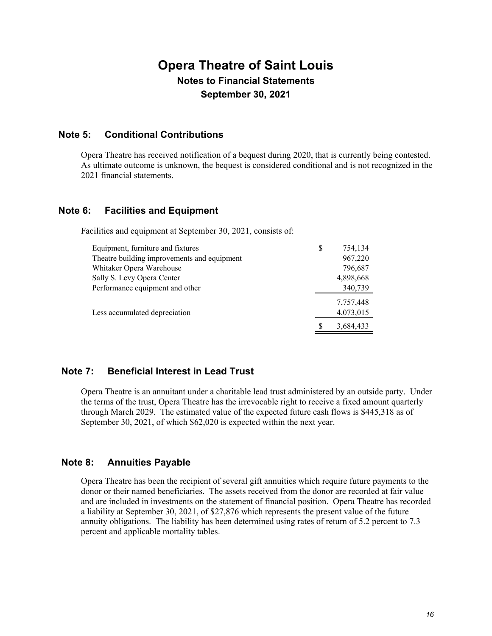### **Note 5: Conditional Contributions**

Opera Theatre has received notification of a bequest during 2020, that is currently being contested. As ultimate outcome is unknown, the bequest is considered conditional and is not recognized in the 2021 financial statements.

### **Note 6: Facilities and Equipment**

Facilities and equipment at September 30, 2021, consists of:

| Equipment, furniture and fixtures           | 754,134   |
|---------------------------------------------|-----------|
| Theatre building improvements and equipment | 967,220   |
| Whitaker Opera Warehouse                    | 796,687   |
| Sally S. Levy Opera Center                  | 4,898,668 |
| Performance equipment and other             | 340,739   |
|                                             | 7,757,448 |
| Less accumulated depreciation               | 4,073,015 |
|                                             | 3,684,433 |

## **Note 7: Beneficial Interest in Lead Trust**

Opera Theatre is an annuitant under a charitable lead trust administered by an outside party. Under the terms of the trust, Opera Theatre has the irrevocable right to receive a fixed amount quarterly through March 2029. The estimated value of the expected future cash flows is \$445,318 as of September 30, 2021, of which \$62,020 is expected within the next year.

## **Note 8: Annuities Payable**

Opera Theatre has been the recipient of several gift annuities which require future payments to the donor or their named beneficiaries. The assets received from the donor are recorded at fair value and are included in investments on the statement of financial position. Opera Theatre has recorded a liability at September 30, 2021, of \$27,876 which represents the present value of the future annuity obligations. The liability has been determined using rates of return of 5.2 percent to 7.3 percent and applicable mortality tables.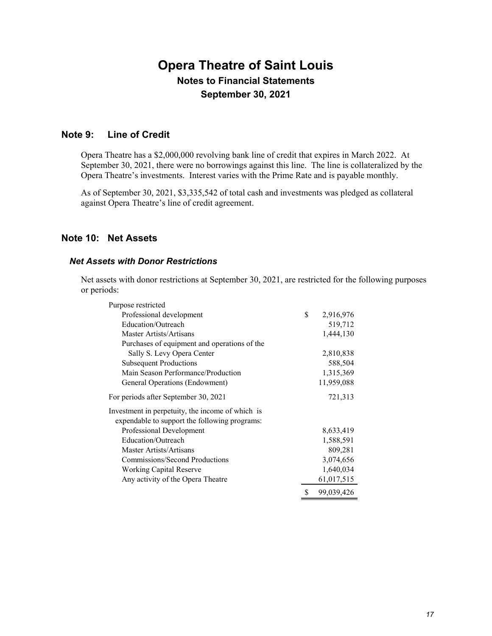### **Note 9: Line of Credit**

Opera Theatre has a \$2,000,000 revolving bank line of credit that expires in March 2022. At September 30, 2021, there were no borrowings against this line. The line is collateralized by the Opera Theatre's investments. Interest varies with the Prime Rate and is payable monthly.

As of September 30, 2021, \$3,335,542 of total cash and investments was pledged as collateral against Opera Theatre's line of credit agreement.

### **Note 10: Net Assets**

#### *Net Assets with Donor Restrictions*

Net assets with donor restrictions at September 30, 2021, are restricted for the following purposes or periods:

| Purpose restricted                               |                  |
|--------------------------------------------------|------------------|
| Professional development                         | \$<br>2,916,976  |
| Education/Outreach                               | 519,712          |
| Master Artists/Artisans                          | 1,444,130        |
| Purchases of equipment and operations of the     |                  |
| Sally S. Levy Opera Center                       | 2,810,838        |
| <b>Subsequent Productions</b>                    | 588,504          |
| Main Season Performance/Production               | 1,315,369        |
| General Operations (Endowment)                   | 11,959,088       |
| For periods after September 30, 2021             | 721,313          |
| Investment in perpetuity, the income of which is |                  |
| expendable to support the following programs:    |                  |
| Professional Development                         | 8,633,419        |
| Education/Outreach                               | 1,588,591        |
| Master Artists/Artisans                          | 809,281          |
| Commissions/Second Productions                   | 3,074,656        |
| Working Capital Reserve                          | 1,640,034        |
| Any activity of the Opera Theatre                | 61,017,515       |
|                                                  | \$<br>99,039,426 |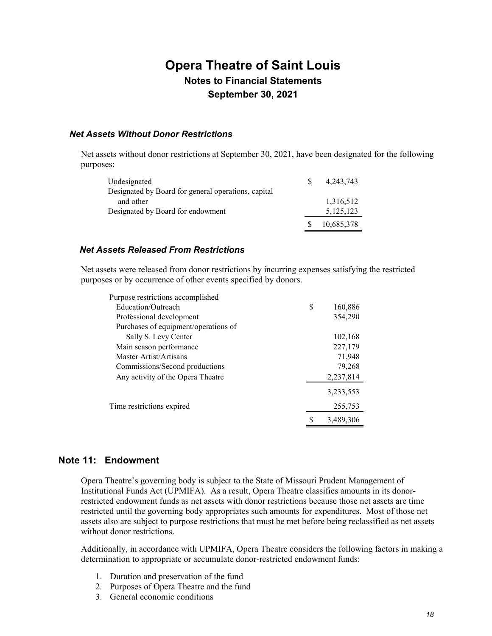#### *Net Assets Without Donor Restrictions*

Net assets without donor restrictions at September 30, 2021, have been designated for the following purposes:

| Undesignated                                        | 4,243,743  |
|-----------------------------------------------------|------------|
| Designated by Board for general operations, capital |            |
| and other                                           | 1,316,512  |
| Designated by Board for endowment                   | 5,125,123  |
|                                                     | 10,685,378 |

### *Net Assets Released From Restrictions*

Net assets were released from donor restrictions by incurring expenses satisfying the restricted purposes or by occurrence of other events specified by donors.

| Purpose restrictions accomplished    |   |           |
|--------------------------------------|---|-----------|
| Education/Outreach                   | S | 160,886   |
| Professional development             |   | 354,290   |
| Purchases of equipment/operations of |   |           |
| Sally S. Levy Center                 |   | 102,168   |
| Main season performance              |   | 227,179   |
| Master Artist/Artisans               |   | 71,948    |
| Commissions/Second productions       |   | 79,268    |
| Any activity of the Opera Theatre    |   | 2,237,814 |
|                                      |   | 3,233,553 |
| Time restrictions expired            |   | 255,753   |
|                                      |   | 3,489,306 |

## **Note 11: Endowment**

Opera Theatre's governing body is subject to the State of Missouri Prudent Management of Institutional Funds Act (UPMIFA). As a result, Opera Theatre classifies amounts in its donorrestricted endowment funds as net assets with donor restrictions because those net assets are time restricted until the governing body appropriates such amounts for expenditures. Most of those net assets also are subject to purpose restrictions that must be met before being reclassified as net assets without donor restrictions.

Additionally, in accordance with UPMIFA, Opera Theatre considers the following factors in making a determination to appropriate or accumulate donor-restricted endowment funds:

- 1. Duration and preservation of the fund
- 2. Purposes of Opera Theatre and the fund
- 3. General economic conditions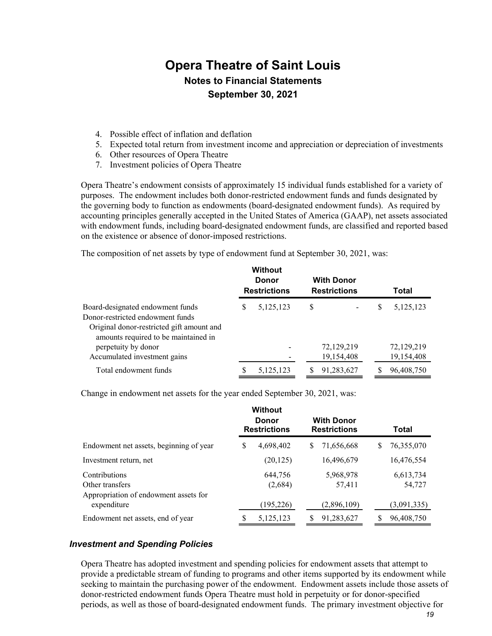- 4. Possible effect of inflation and deflation
- 5. Expected total return from investment income and appreciation or depreciation of investments
- 6. Other resources of Opera Theatre
- 7. Investment policies of Opera Theatre

Opera Theatre's endowment consists of approximately 15 individual funds established for a variety of purposes. The endowment includes both donor-restricted endowment funds and funds designated by the governing body to function as endowments (board-designated endowment funds). As required by accounting principles generally accepted in the United States of America (GAAP), net assets associated with endowment funds, including board-designated endowment funds, are classified and reported based on the existence or absence of donor-imposed restrictions.

The composition of net assets by type of endowment fund at September 30, 2021, was:

|                                                                                                                                                           |   | <b>Without</b><br>Donor<br><b>Restrictions</b> |   | <b>With Donor</b><br><b>Restrictions</b> |   | Total                    |
|-----------------------------------------------------------------------------------------------------------------------------------------------------------|---|------------------------------------------------|---|------------------------------------------|---|--------------------------|
| Board-designated endowment funds<br>Donor-restricted endowment funds<br>Original donor-restricted gift amount and<br>amounts required to be maintained in | S | 5,125,123                                      | S |                                          | S | 5,125,123                |
| perpetuity by donor<br>Accumulated investment gains                                                                                                       |   |                                                |   | 72,129,219<br>19,154,408                 |   | 72,129,219<br>19,154,408 |
| Total endowment funds                                                                                                                                     |   | 5,125,123                                      |   | 91,283,627                               |   | 96,408,750               |

Change in endowment net assets for the year ended September 30, 2021, was:

|                                                      |    | <b>Without</b><br>Donor<br><b>Restrictions</b> |   | <b>With Donor</b><br><b>Restrictions</b> |   | Total                 |  |
|------------------------------------------------------|----|------------------------------------------------|---|------------------------------------------|---|-----------------------|--|
| Endowment net assets, beginning of year              | \$ | 4,698,402                                      | S | 71,656,668                               | S | 76,355,070            |  |
| Investment return, net                               |    | (20, 125)                                      |   | 16,496,679                               |   | 16,476,554            |  |
| Contributions<br>Other transfers                     |    | 644.756                                        |   | 5,968,978                                |   | 6,613,734             |  |
| Appropriation of endowment assets for<br>expenditure |    | (2,684)<br>(195, 226)                          |   | 57,411<br>(2,896,109)                    |   | 54,727<br>(3,091,335) |  |
| Endowment net assets, end of year                    |    | 5,125,123                                      |   | 91,283,627                               |   | 96,408,750            |  |

### *Investment and Spending Policies*

Opera Theatre has adopted investment and spending policies for endowment assets that attempt to provide a predictable stream of funding to programs and other items supported by its endowment while seeking to maintain the purchasing power of the endowment. Endowment assets include those assets of donor-restricted endowment funds Opera Theatre must hold in perpetuity or for donor-specified periods, as well as those of board-designated endowment funds. The primary investment objective for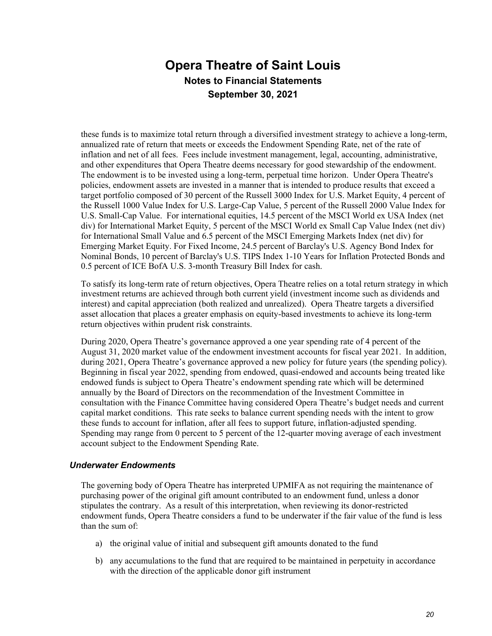these funds is to maximize total return through a diversified investment strategy to achieve a long-term, annualized rate of return that meets or exceeds the Endowment Spending Rate, net of the rate of inflation and net of all fees. Fees include investment management, legal, accounting, administrative, and other expenditures that Opera Theatre deems necessary for good stewardship of the endowment. The endowment is to be invested using a long-term, perpetual time horizon. Under Opera Theatre's policies, endowment assets are invested in a manner that is intended to produce results that exceed a target portfolio composed of 30 percent of the Russell 3000 Index for U.S. Market Equity, 4 percent of the Russell 1000 Value Index for U.S. Large-Cap Value, 5 percent of the Russell 2000 Value Index for U.S. Small-Cap Value. For international equities, 14.5 percent of the MSCI World ex USA Index (net div) for International Market Equity, 5 percent of the MSCI World ex Small Cap Value Index (net div) for International Small Value and 6.5 percent of the MSCI Emerging Markets Index (net div) for Emerging Market Equity. For Fixed Income, 24.5 percent of Barclay's U.S. Agency Bond Index for Nominal Bonds, 10 percent of Barclay's U.S. TIPS Index 1-10 Years for Inflation Protected Bonds and 0.5 percent of ICE BofA U.S. 3-month Treasury Bill Index for cash.

To satisfy its long-term rate of return objectives, Opera Theatre relies on a total return strategy in which investment returns are achieved through both current yield (investment income such as dividends and interest) and capital appreciation (both realized and unrealized). Opera Theatre targets a diversified asset allocation that places a greater emphasis on equity-based investments to achieve its long-term return objectives within prudent risk constraints.

During 2020, Opera Theatre's governance approved a one year spending rate of 4 percent of the August 31, 2020 market value of the endowment investment accounts for fiscal year 2021. In addition, during 2021, Opera Theatre's governance approved a new policy for future years (the spending policy). Beginning in fiscal year 2022, spending from endowed, quasi-endowed and accounts being treated like endowed funds is subject to Opera Theatre's endowment spending rate which will be determined annually by the Board of Directors on the recommendation of the Investment Committee in consultation with the Finance Committee having considered Opera Theatre's budget needs and current capital market conditions. This rate seeks to balance current spending needs with the intent to grow these funds to account for inflation, after all fees to support future, inflation-adjusted spending. Spending may range from 0 percent to 5 percent of the 12-quarter moving average of each investment account subject to the Endowment Spending Rate.

### *Underwater Endowments*

The governing body of Opera Theatre has interpreted UPMIFA as not requiring the maintenance of purchasing power of the original gift amount contributed to an endowment fund, unless a donor stipulates the contrary. As a result of this interpretation, when reviewing its donor-restricted endowment funds, Opera Theatre considers a fund to be underwater if the fair value of the fund is less than the sum of:

- a) the original value of initial and subsequent gift amounts donated to the fund
- b) any accumulations to the fund that are required to be maintained in perpetuity in accordance with the direction of the applicable donor gift instrument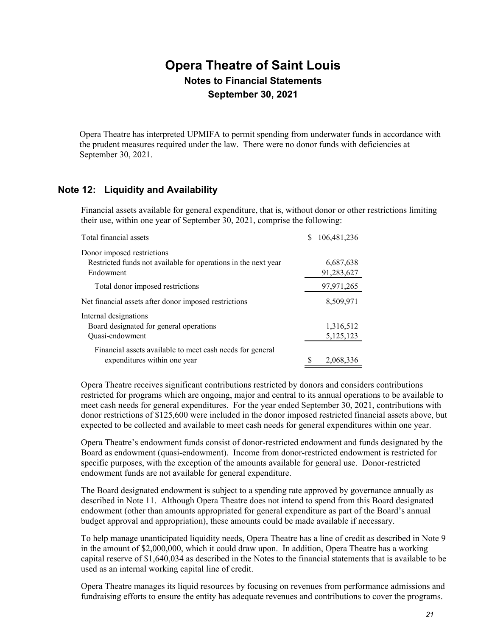Opera Theatre has interpreted UPMIFA to permit spending from underwater funds in accordance with the prudent measures required under the law. There were no donor funds with deficiencies at September 30, 2021.

## **Note 12: Liquidity and Availability**

Financial assets available for general expenditure, that is, without donor or other restrictions limiting their use, within one year of September 30, 2021, comprise the following:

| Total financial assets                                         |   | 106,481,236 |
|----------------------------------------------------------------|---|-------------|
| Donor imposed restrictions                                     |   |             |
| Restricted funds not available for operations in the next year |   | 6,687,638   |
| Endowment                                                      |   | 91,283,627  |
| Total donor imposed restrictions                               |   | 97,971,265  |
| Net financial assets after donor imposed restrictions          |   | 8,509,971   |
| Internal designations                                          |   |             |
| Board designated for general operations                        |   | 1,316,512   |
| Quasi-endowment                                                |   | 5,125,123   |
| Financial assets available to meet cash needs for general      |   |             |
| expenditures within one year                                   | S | 2,068,336   |

Opera Theatre receives significant contributions restricted by donors and considers contributions restricted for programs which are ongoing, major and central to its annual operations to be available to meet cash needs for general expenditures. For the year ended September 30, 2021, contributions with donor restrictions of \$125,600 were included in the donor imposed restricted financial assets above, but expected to be collected and available to meet cash needs for general expenditures within one year.

Opera Theatre's endowment funds consist of donor-restricted endowment and funds designated by the Board as endowment (quasi-endowment). Income from donor-restricted endowment is restricted for specific purposes, with the exception of the amounts available for general use. Donor-restricted endowment funds are not available for general expenditure.

The Board designated endowment is subject to a spending rate approved by governance annually as described in Note 11. Although Opera Theatre does not intend to spend from this Board designated endowment (other than amounts appropriated for general expenditure as part of the Board's annual budget approval and appropriation), these amounts could be made available if necessary.

To help manage unanticipated liquidity needs, Opera Theatre has a line of credit as described in Note 9 in the amount of \$2,000,000, which it could draw upon. In addition, Opera Theatre has a working capital reserve of \$1,640,034 as described in the Notes to the financial statements that is available to be used as an internal working capital line of credit.

Opera Theatre manages its liquid resources by focusing on revenues from performance admissions and fundraising efforts to ensure the entity has adequate revenues and contributions to cover the programs.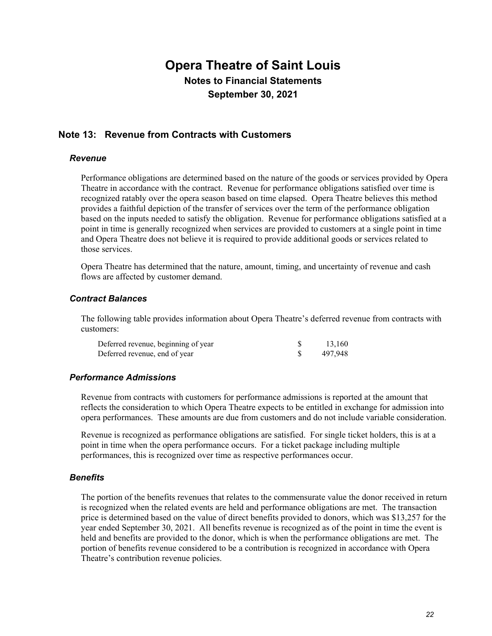## **Notes to Financial Statements September 30, 2021**

### **Note 13: Revenue from Contracts with Customers**

#### *Revenue*

Performance obligations are determined based on the nature of the goods or services provided by Opera Theatre in accordance with the contract. Revenue for performance obligations satisfied over time is recognized ratably over the opera season based on time elapsed. Opera Theatre believes this method provides a faithful depiction of the transfer of services over the term of the performance obligation based on the inputs needed to satisfy the obligation. Revenue for performance obligations satisfied at a point in time is generally recognized when services are provided to customers at a single point in time and Opera Theatre does not believe it is required to provide additional goods or services related to those services.

Opera Theatre has determined that the nature, amount, timing, and uncertainty of revenue and cash flows are affected by customer demand.

#### *Contract Balances*

The following table provides information about Opera Theatre's deferred revenue from contracts with customers:

| Deferred revenue, beginning of year | 13,160  |
|-------------------------------------|---------|
| Deferred revenue, end of year       | 497.948 |

### *Performance Admissions*

Revenue from contracts with customers for performance admissions is reported at the amount that reflects the consideration to which Opera Theatre expects to be entitled in exchange for admission into opera performances. These amounts are due from customers and do not include variable consideration.

Revenue is recognized as performance obligations are satisfied. For single ticket holders, this is at a point in time when the opera performance occurs. For a ticket package including multiple performances, this is recognized over time as respective performances occur.

#### *Benefits*

The portion of the benefits revenues that relates to the commensurate value the donor received in return is recognized when the related events are held and performance obligations are met. The transaction price is determined based on the value of direct benefits provided to donors, which was \$13,257 for the year ended September 30, 2021. All benefits revenue is recognized as of the point in time the event is held and benefits are provided to the donor, which is when the performance obligations are met. The portion of benefits revenue considered to be a contribution is recognized in accordance with Opera Theatre's contribution revenue policies.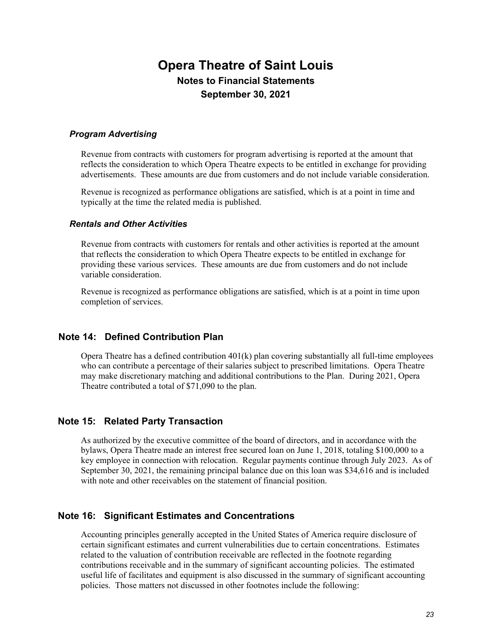### *Program Advertising*

Revenue from contracts with customers for program advertising is reported at the amount that reflects the consideration to which Opera Theatre expects to be entitled in exchange for providing advertisements. These amounts are due from customers and do not include variable consideration.

Revenue is recognized as performance obligations are satisfied, which is at a point in time and typically at the time the related media is published.

#### *Rentals and Other Activities*

Revenue from contracts with customers for rentals and other activities is reported at the amount that reflects the consideration to which Opera Theatre expects to be entitled in exchange for providing these various services. These amounts are due from customers and do not include variable consideration.

Revenue is recognized as performance obligations are satisfied, which is at a point in time upon completion of services.

### **Note 14: Defined Contribution Plan**

Opera Theatre has a defined contribution 401(k) plan covering substantially all full-time employees who can contribute a percentage of their salaries subject to prescribed limitations. Opera Theatre may make discretionary matching and additional contributions to the Plan. During 2021, Opera Theatre contributed a total of \$71,090 to the plan.

#### **Note 15: Related Party Transaction**

As authorized by the executive committee of the board of directors, and in accordance with the bylaws, Opera Theatre made an interest free secured loan on June 1, 2018, totaling \$100,000 to a key employee in connection with relocation. Regular payments continue through July 2023. As of September 30, 2021, the remaining principal balance due on this loan was \$34,616 and is included with note and other receivables on the statement of financial position.

### **Note 16: Significant Estimates and Concentrations**

Accounting principles generally accepted in the United States of America require disclosure of certain significant estimates and current vulnerabilities due to certain concentrations. Estimates related to the valuation of contribution receivable are reflected in the footnote regarding contributions receivable and in the summary of significant accounting policies. The estimated useful life of facilitates and equipment is also discussed in the summary of significant accounting policies. Those matters not discussed in other footnotes include the following: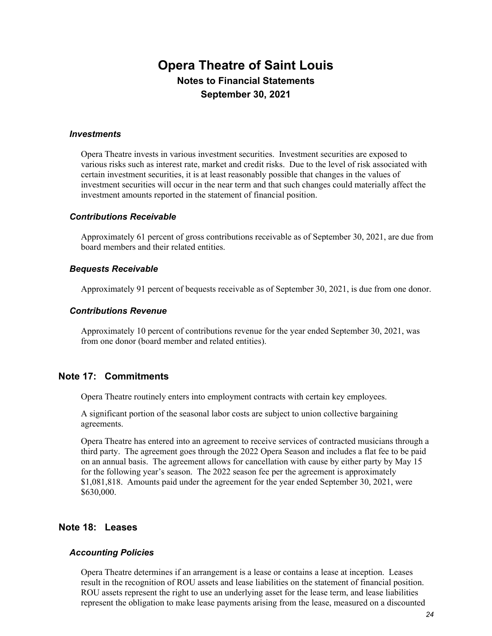#### *Investments*

Opera Theatre invests in various investment securities. Investment securities are exposed to various risks such as interest rate, market and credit risks. Due to the level of risk associated with certain investment securities, it is at least reasonably possible that changes in the values of investment securities will occur in the near term and that such changes could materially affect the investment amounts reported in the statement of financial position.

#### *Contributions Receivable*

Approximately 61 percent of gross contributions receivable as of September 30, 2021, are due from board members and their related entities.

#### *Bequests Receivable*

Approximately 91 percent of bequests receivable as of September 30, 2021, is due from one donor.

#### *Contributions Revenue*

Approximately 10 percent of contributions revenue for the year ended September 30, 2021, was from one donor (board member and related entities).

#### **Note 17: Commitments**

Opera Theatre routinely enters into employment contracts with certain key employees.

A significant portion of the seasonal labor costs are subject to union collective bargaining agreements.

Opera Theatre has entered into an agreement to receive services of contracted musicians through a third party. The agreement goes through the 2022 Opera Season and includes a flat fee to be paid on an annual basis. The agreement allows for cancellation with cause by either party by May 15 for the following year's season. The 2022 season fee per the agreement is approximately \$1,081,818. Amounts paid under the agreement for the year ended September 30, 2021, were \$630,000.

### **Note 18: Leases**

#### *Accounting Policies*

Opera Theatre determines if an arrangement is a lease or contains a lease at inception. Leases result in the recognition of ROU assets and lease liabilities on the statement of financial position. ROU assets represent the right to use an underlying asset for the lease term, and lease liabilities represent the obligation to make lease payments arising from the lease, measured on a discounted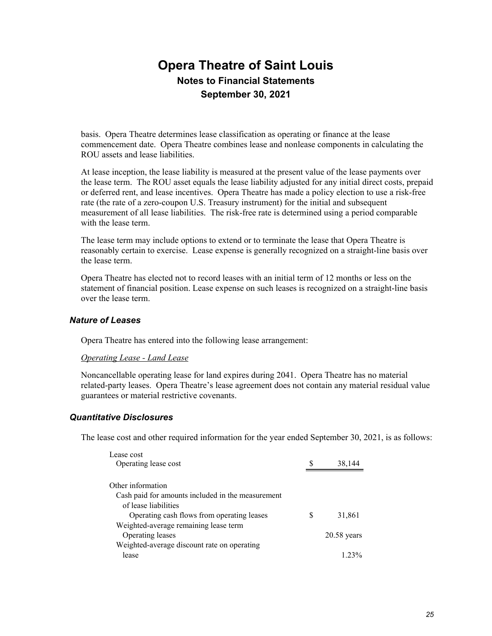basis. Opera Theatre determines lease classification as operating or finance at the lease commencement date. Opera Theatre combines lease and nonlease components in calculating the ROU assets and lease liabilities.

At lease inception, the lease liability is measured at the present value of the lease payments over the lease term. The ROU asset equals the lease liability adjusted for any initial direct costs, prepaid or deferred rent, and lease incentives. Opera Theatre has made a policy election to use a risk-free rate (the rate of a zero-coupon U.S. Treasury instrument) for the initial and subsequent measurement of all lease liabilities. The risk-free rate is determined using a period comparable with the lease term.

The lease term may include options to extend or to terminate the lease that Opera Theatre is reasonably certain to exercise. Lease expense is generally recognized on a straight-line basis over the lease term.

Opera Theatre has elected not to record leases with an initial term of 12 months or less on the statement of financial position. Lease expense on such leases is recognized on a straight-line basis over the lease term.

#### *Nature of Leases*

Opera Theatre has entered into the following lease arrangement:

#### *Operating Lease - Land Lease*

Noncancellable operating lease for land expires during 2041. Opera Theatre has no material related-party leases. Opera Theatre's lease agreement does not contain any material residual value guarantees or material restrictive covenants.

### *Quantitative Disclosures*

The lease cost and other required information for the year ended September 30, 2021, is as follows:

| Lease cost                                        |   |               |
|---------------------------------------------------|---|---------------|
| Operating lease cost                              | S | 38,144        |
|                                                   |   |               |
| Other information                                 |   |               |
| Cash paid for amounts included in the measurement |   |               |
| of lease liabilities                              |   |               |
| Operating cash flows from operating leases        | S | 31,861        |
| Weighted-average remaining lease term             |   |               |
| Operating leases                                  |   | $20.58$ years |
| Weighted-average discount rate on operating       |   |               |
| lease                                             |   | $1.23\%$      |
|                                                   |   |               |